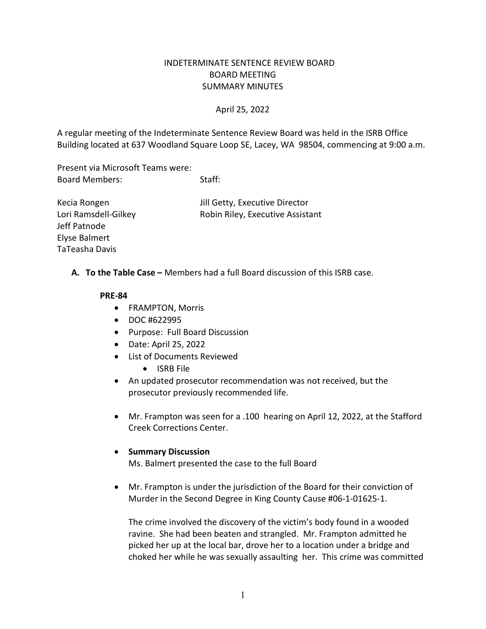## INDETERMINATE SENTENCE REVIEW BOARD BOARD MEETING SUMMARY MINUTES

#### April 25, 2022

A regular meeting of the Indeterminate Sentence Review Board was held in the ISRB Office Building located at 637 Woodland Square Loop SE, Lacey, WA 98504, commencing at 9:00 a.m.

Present via Microsoft Teams were: Board Members: Staff:

Jeff Patnode Elyse Balmert TaTeasha Davis

Kecia Rongen **In the Community** Secure Jill Getty, Executive Director Lori Ramsdell-Gilkey Robin Riley, Executive Assistant

**A. To the Table Case –** Members had a full Board discussion of this ISRB case.

#### **PRE-84**

- FRAMPTON, Morris
- DOC #622995
- Purpose: Full Board Discussion
- Date: April 25, 2022
- List of Documents Reviewed
	- ISRB File
- An updated prosecutor recommendation was not received, but the prosecutor previously recommended life.
- Mr. Frampton was seen for a .100 hearing on April 12, 2022, at the Stafford Creek Corrections Center.

#### • **Summary Discussion**

Ms. Balmert presented the case to the full Board

• Mr. Frampton is under the jurisdiction of the Board for their conviction of Murder in the Second Degree in King County Cause #06-1-01625-1.

The crime involved the discovery of the victim's body found in a wooded ravine. She had been beaten and strangled. Mr. Frampton admitted he picked her up at the local bar, drove her to a location under a bridge and choked her while he was sexually assaulting her. This crime was committed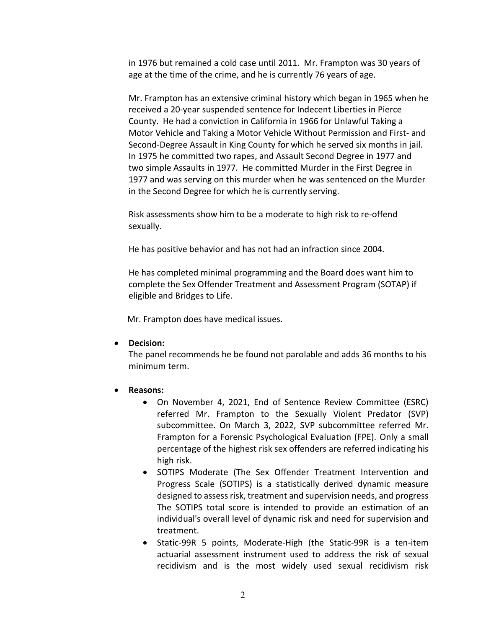in 1976 but remained a cold case until 2011. Mr. Frampton was 30 years of age at the time of the crime, and he is currently 76 years of age.

Mr. Frampton has an extensive criminal history which began in 1965 when he received a 20-year suspended sentence for Indecent Liberties in Pierce County. He had a conviction in California in 1966 for Unlawful Taking a Motor Vehicle and Taking a Motor Vehicle Without Permission and First- and Second-Degree Assault in King County for which he served six months in jail. In 1975 he committed two rapes, and Assault Second Degree in 1977 and two simple Assaults in 1977. He committed Murder in the First Degree in 1977 and was serving on this murder when he was sentenced on the Murder in the Second Degree for which he is currently serving.

Risk assessments show him to be a moderate to high risk to re-offend sexually.

He has positive behavior and has not had an infraction since 2004.

He has completed minimal programming and the Board does want him to complete the Sex Offender Treatment and Assessment Program (SOTAP) if eligible and Bridges to Life.

Mr. Frampton does have medical issues.

### • **Decision:**

The panel recommends he be found not parolable and adds 36 months to his minimum term.

- **Reasons:**
	- On November 4, 2021, End of Sentence Review Committee (ESRC) referred Mr. Frampton to the Sexually Violent Predator (SVP) subcommittee. On March 3, 2022, SVP subcommittee referred Mr. Frampton for a Forensic Psychological Evaluation (FPE). Only a small percentage of the highest risk sex offenders are referred indicating his high risk.
	- SOTIPS Moderate (The Sex Offender Treatment Intervention and Progress Scale (SOTIPS) is a statistically derived dynamic measure designed to assess risk, treatment and supervision needs, and progress The SOTIPS total score is intended to provide an estimation of an individual's overall level of dynamic risk and need for supervision and treatment.
	- Static-99R 5 points, Moderate-High (the Static-99R is a ten-item actuarial assessment instrument used to address the risk of sexual recidivism and is the most widely used sexual recidivism risk